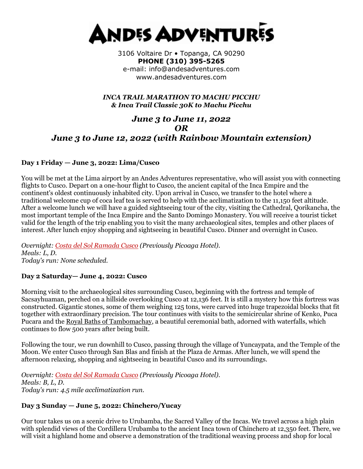

3106 Voltaire Dr • Topanga, CA 90290 **PHONE (310) 395-5265**  e-mail: info@andesadventures.com www.andesadventures.com

*INCA TRAIL MARATHON TO MACHU PICCHU & Inca Trail Classic 30K to Machu Picchu*

# *June 3 to June 11, 2022 OR June 3 to June 12, 2022 (with Rainbow Mountain extension)*

## **Day 1 Friday — June 3, 2022: Lima/Cusco**

You will be met at the Lima airport by an Andes Adventures representative, who will assist you with connecting flights to Cusco. Depart on a one-hour flight to Cusco, the ancient capital of the Inca Empire and the continent's oldest continuously inhabited city. Upon arrival in Cusco, we transfer to the hotel where a traditional welcome cup of coca leaf tea is served to help with the acclimatization to the 11,150 feet altitude. After a welcome lunch we will have a guided sightseeing tour of the city, visiting the Cathedral, Qorikancha, the most important temple of the Inca Empire and the Santo Domingo Monastery. You will receive a tourist ticket valid for the length of the trip enabling you to visit the many archaeological sites, temples and other places of interest. After lunch enjoy shopping and sightseeing in beautiful Cusco. Dinner and overnight in Cusco.

*Overnight: [Costa del Sol Ramada Cusco](http://www.costadelsolperu.com/peru/hotels/cusco/) (Previously Picoaga Hotel). Meals: L, D. Today's run: None scheduled.*

## **Day 2 Saturday— June 4, 2022: Cusco**

Morning visit to the archaeological sites surrounding Cusco, beginning with the fortress and temple of Sacsayhuaman, perched on a hillside overlooking Cusco at 12,136 feet. It is still a mystery how this fortress was constructed. Gigantic stones, some of them weighing 125 tons, were carved into huge trapezoidal blocks that fit together with extraordinary precision. The tour continues with visits to the semicircular shrine of Kenko, Puca Pucara and the [Royal Baths of Tambomachay,](https://www.andesadventures.com/images/Tambomachayb.jpg) a beautiful ceremonial bath, adorned with waterfalls, which continues to flow 500 years after being built.

Following the tour, we run downhill to Cusco, passing through the village of Yuncaypata, and the Temple of the Moon. We enter Cusco through San Blas and finish at the Plaza de Armas. After lunch, we will spend the afternoon relaxing, shopping and sightseeing in beautiful Cusco and its surroundings.

*Overnight: [Costa del Sol Ramada Cusco](http://www.costadelsolperu.com/peru/hotels/cusco/) (Previously Picoaga Hotel). Meals: B, L, D. Today's run: 4.5 mile acclimatization run.*

## **Day 3 Sunday — June 5, 2022: Chinchero/Yucay**

Our tour takes us on a scenic drive to Urubamba, the Sacred Valley of the Incas. We travel across a high plain with splendid views of the Cordillera Urubamba to the ancient Inca town of Chinchero at 12,350 feet. There, we will visit a highland home and observe a demonstration of the traditional weaving process and shop for local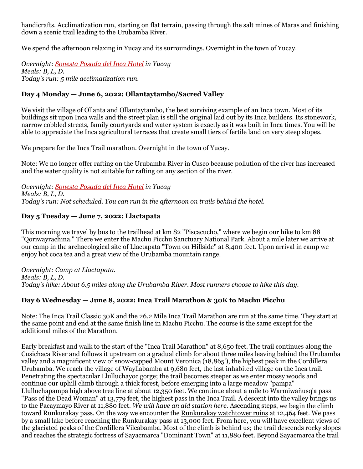handicrafts. Acclimatization run, starting on flat terrain, passing through the salt mines of Maras and finishing down a scenic trail leading to the Urubamba River.

We spend the afternoon relaxing in Yucay and its surroundings. Overnight in the town of Yucay.

*Overnight: [Sonesta Posada del Inca Hotel](http://www.sonesta.com/SacredValley/) in Yucay Meals: B, L, D. Today's run: 5 mile acclimatization run.*

## **Day 4 Monday — June 6, 2022: Ollantaytambo/Sacred Valley**

We visit the village of Ollanta and Ollantaytambo, the best surviving example of an Inca town. Most of its buildings sit upon Inca walls and the street plan is still the original laid out by its Inca builders. Its stonework, narrow cobbled streets, family courtyards and water system is exactly as it was built in Inca times. You will be able to appreciate the Inca agricultural terraces that create small tiers of fertile land on very steep slopes.

We prepare for the Inca Trail marathon. Overnight in the town of Yucay.

Note: We no longer offer rafting on the Urubamba River in Cusco because pollution of the river has increased and the water quality is not suitable for rafting on any section of the river.

*Overnight: [Sonesta Posada del Inca Hotel](http://www.sonesta.com/SacredValley/) in Yucay Meals: B, L, D. Today's run: Not scheduled. You can run in the afternoon on trails behind the hotel.*

## **Day 5 Tuesday — June 7, 2022: Llactapata**

This morning we travel by bus to the trailhead at km 82 "Piscacucho," where we begin our hike to km 88 "Qoriwayrachina." There we enter the Machu Picchu Sanctuary National Park. About a mile later we arrive at our camp in the archaeological site of Llactapata "Town on Hillside" at 8,400 feet. Upon arrival in camp we enjoy hot coca tea and a great view of the Urubamba mountain range.

*Overnight: Camp at Llactapata. Meals: B, L, D. Today's hike: About 6.5 miles along the Urubamba River. Most runners choose to hike this day.*

## **Day 6 Wednesday — June 8, 2022: Inca Trail Marathon & 30K to Machu Picchu**

Note: The Inca Trail Classic 30K and the 26.2 Mile Inca Trail Marathon are run at the same time. They start at the same point and end at the same finish line in Machu Picchu. The course is the same except for the additional miles of the Marathon.

Early breakfast and walk to the start of the "Inca Trail Marathon" at 8,650 feet. The trail continues along the Cusichaca River and follows it upstream on a gradual climb for about three miles leaving behind the Urubamba valley and a magnificent view of snow-capped Mount Veronica (18,865'), the highest peak in the Cordillera Urubamba. We reach the village of Wayllabamba at 9,680 feet, the last inhabited village on the Inca trail. Penetrating the spectacular Llulluchayoc gorge; the trail becomes steeper as we enter mossy woods and continue our uphill climb through a thick forest, before emerging into a large meadow "pampa" Llulluchapampa high above tree line at about 12,350 feet. We continue about a mile to Warmiwañusq'a pass "Pass of the Dead Woman" at 13,779 feet, the highest pass in the Inca Trail. A descent into the valley brings us to the Pacaymayo River at 11,880 feet. *We will have an aid station here.* [Ascending steps,](https://www.andesadventures.com/images/IncaTrailStepsb.jpg) we begin the climb toward Runkurakay pass. On the way we encounter the [Runkurakay watchtower ruins](https://www.andesadventures.com/images/RunkurakayTowerb.jpg) at 12,464 feet. We pass by a small lake before reaching the Runkurakay pass at 13,000 feet. From here, you will have excellent views of the glaciated peaks of the Cordillera Vilcabamba. Most of the climb is behind us; the trail descends rocky slopes and reaches the strategic fortress of Sayacmarca "Dominant Town" at 11,880 feet. Beyond Sayacmarca the trail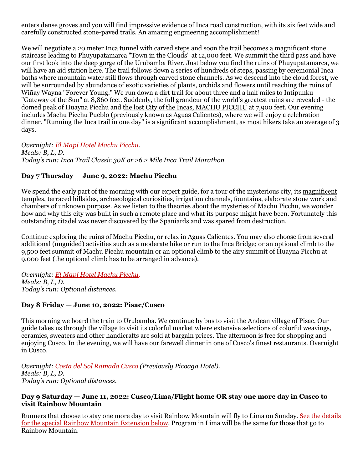enters dense groves and you will find impressive evidence of Inca road construction, with its six feet wide and carefully constructed stone-paved trails. An amazing engineering accomplishment!

We will negotiate a 20 meter Inca tunnel with carved steps and soon the trail becomes a magnificent stone staircase leading to Phuyupatamarca "Town in the Clouds" at 12,000 feet. We summit the third pass and have our first look into the deep gorge of the Urubamba River. Just below you find the ruins of Phuyupatamarca, we will have an aid station here. The trail follows down a series of hundreds of steps, passing by ceremonial Inca baths where mountain water still flows through carved stone channels. As we descend into the cloud forest, we will be surrounded by abundance of exotic varieties of plants, orchids and flowers until reaching the ruins of Wiñay Wayna "Forever Young." We run down a dirt trail for about three and a half miles to Intipunku "Gateway of the Sun" at 8,860 feet. Suddenly, the full grandeur of the world's greatest ruins are revealed - the domed peak of Huayna Picchu and [the lost City of the Incas, MACHU PICCHU](https://www.andesadventures.com/images/gv_IMG_1754.jpg) at 7,900 feet. Our evening includes Machu Picchu Pueblo (previously known as Aguas Calientes), where we will enjoy a celebration dinner. "Running the Inca trail in one day" is a significant accomplishment, as most hikers take an average of 3 days.

*Overnight: [El Mapi Hotel Machu Picchu.](http://www.elmapihotel.com/) Meals: B, L, D. Today's run: Inca Trail Classic 30K or 26.2 Mile Inca Trail Marathon*

## **Day 7 Thursday — June 9, 2022: Machu Picchu**

We spend the early part of the morning with our expert guide, for a tour of the mysterious city, its magnificent [temples,](https://www.andesadventures.com/images/TempleSunb.jpg) terraced hillsides, [archaeological curiosities,](https://www.andesadventures.com/images/ga_Intihuatanab.jpg) irrigation channels, fountains, elaborate stone work and chambers of unknown purpose. As we listen to the theories about the mysteries of Machu Picchu, we wonder how and why this city was built in such a remote place and what its purpose might have been. Fortunately this outstanding citadel was never discovered by the Spaniards and was spared from destruction.

Continue exploring the ruins of Machu Picchu, or relax in Aguas Calientes. You may also choose from several additional (unguided) activities such as a moderate hike or run to the Inca Bridge; or an optional climb to the 9,500 feet summit of Machu Picchu mountain or an optional climb to the airy summit of Huayna Picchu at 9,000 feet (the optional climb has to be arranged in advance).

*Overnight: El Mapi [Hotel Machu Picchu.](http://www.elmapihotel.com/) Meals: B, L, D. Today's run: Optional distances.*

## **Day 8 Friday — June 10, 2022: Pisac/Cusco**

This morning we board the train to Urubamba. We continue by bus to visit the Andean village of Pisac. Our guide takes us through the village to visit its colorful market where extensive selections of colorful weavings, ceramics, sweaters and other handicrafts are sold at bargain prices. The afternoon is free for shopping and enjoying Cusco. In the evening, we will have our farewell dinner in one of Cusco's finest restaurants. Overnight in Cusco.

*Overnight: [Costa del Sol Ramada Cusco](http://www.costadelsolperu.com/peru/hotels/cusco/) (Previously Picoaga Hotel). Meals: B, L, D. Today's run: Optional distances.*

#### **Day 9 Saturday — June 11, 2022: Cusco/Lima/Flight home OR stay one more day in Cusco to visit Rainbow Mountain**

Runners that choose to stay one more day to visit Rainbow Mountain will fly to Lima on Sunday. See the details for the special Rainbow Mountain Extension below. Program in Lima will be the same for those that go to Rainbow Mountain.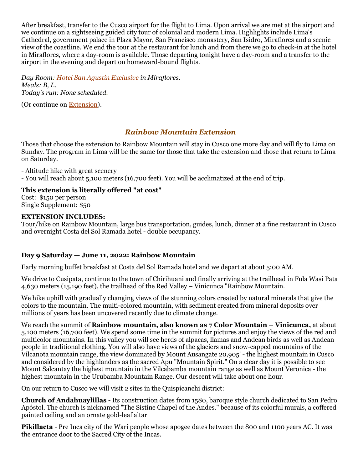After breakfast, transfer to the Cusco airport for the flight to Lima. Upon arrival we are met at the airport and we continue on a sightseeing guided city tour of colonial and modern Lima. Highlights include Lima's Cathedral, government palace in Plaza Mayor, San Francisco monastery, San Isidro, Miraflores and a scenic view of the coastline. We end the tour at the restaurant for lunch and from there we go to check-in at the hotel in Miraflores, where a day-room is available. Those departing tonight have a day-room and a transfer to the airport in the evening and depart on homeward-bound flights.

*Day Room: [Hotel San Agustín Exclusive](http://www.hotelessanagustin.com.pe/en/hotels/exclusive-miraflores-lima/) in Miraflores. Meals: B, L. Today's run: None scheduled.*

(Or continue on [Extension\)](https://www.andesadventures.com/extensions.htm).

## *Rainbow Mountain Extension*

Those that choose the extension to Rainbow Mountain will stay in Cusco one more day and will fly to Lima on Sunday. The program in Lima will be the same for those that take the extension and those that return to Lima on Saturday.

- Altitude hike with great scenery - You will reach about 5,100 meters (16,700 feet). You will be acclimatized at the end of trip.

## **This extension is literally offered "at cost"**

Cost: \$150 per person Single Supplement: \$50

#### **EXTENSION INCLUDES:**

Tour/hike on Rainbow Mountain, large bus transportation, guides, lunch, dinner at a fine restaurant in Cusco and overnight Costa del Sol Ramada hotel - double occupancy.

## **Day 9 Saturday — June 11, 2022: Rainbow Mountain**

Early morning buffet breakfast at Costa del Sol Ramada hotel and we depart at about 5:00 AM.

We drive to Cusipata, continue to the town of Chirihuani and finally arriving at the trailhead in Fula Wasi Pata 4,630 meters (15,190 feet), the trailhead of the Red Valley – Vinicunca "Rainbow Mountain.

We hike uphill with gradually changing views of the stunning colors created by natural minerals that give the colors to the mountain. The multi-colored mountain, with sediment created from mineral deposits over millions of years has been uncovered recently due to climate change.

We reach the summit of **Rainbow mountain, also known as 7 Color Mountain – Vinicunca,** at about 5,100 meters (16,700 feet). We spend some time in the summit for pictures and enjoy the views of the red and multicolor mountains. In this valley you will see herds of alpacas, llamas and Andean birds as well as Andean people in traditional clothing. You will also have views of the glaciers and snow-capped mountains of the Vilcanota mountain range, the view dominated by Mount Ausangate 20,905' - the highest mountain in Cusco and considered by the highlanders as the sacred Apu "Mountain Spirit." On a clear day it is possible to see Mount Salcantay the highest mountain in the Vilcabamba mountain range as well as Mount Veronica - the highest mountain in the Urubamba Mountain Range. Our descent will take about one hour.

On our return to Cusco we will visit 2 sites in the Quispicanchi district:

**Church of Andahuaylillas -** Its construction dates from 1580, baroque style church dedicated to San Pedro Apóstol. The church is nicknamed "The Sistine Chapel of the Andes." because of its colorful murals, a coffered painted ceiling and an ornate gold-leaf altar

**Pikillacta** - Pre Inca city of the Wari people whose apogee dates between the 800 and 1100 years AC. It was the entrance door to the Sacred City of the Incas.